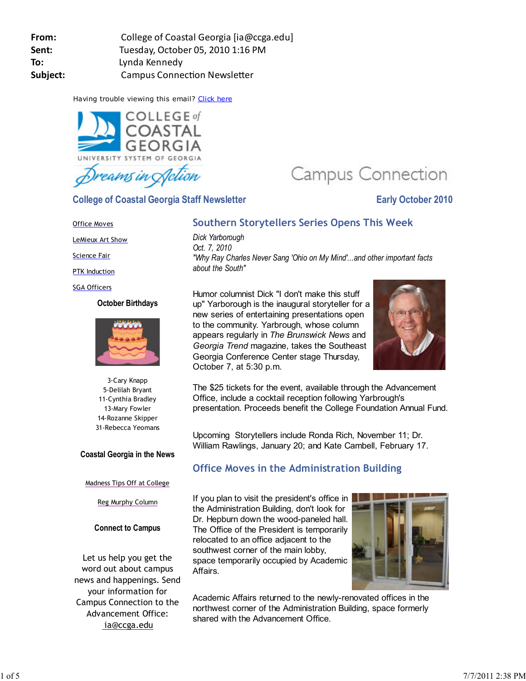| From:    | College of Coastal Georgia [ia@ccga.edu] |
|----------|------------------------------------------|
| Sent:    | Tuesday, October 05, 2010 1:16 PM        |
| To:      | Lynda Kennedy                            |
| Subject: | <b>Campus Connection Newsletter</b>      |

Having trouble viewing this email? Click here



**College of Coastal Georgia Staff Newsletter Early October 2010** 

# **Campus Connection**

## Office Moves

LeMieux Art Show

**Science Fair** 

PTK Induction

#### SGA Officers

#### **October Birthdays**



3-Cary Knapp 5-Delilah Bryant 11-Cynthia Bradley 13-Mary Fowler 14-Rozanne Skipper 31-Rebecca Yeomans

## **Coastal Georgia in the News**

## Madness Tips Off at College

# Reg Murphy Column

# **Connect to Campus**

Let us help you get the word out about campus news and happenings. Send your information for Campus Connection to the Advancement Office: ia@ccga.edu

# **Southern Storytellers Series Opens This Week**

*Dick Yarborough Oct. 7, 2010 "Why Ray Charles Never Sang 'Ohio on My Mind'...and other important facts about the South"*

Humor columnist Dick "I don't make this stuff up" Yarborough is the inaugural storyteller for a new series of entertaining presentations open to the community. Yarbrough, whose column appears regularly in *The Brunswick News* and *Georgia Trend* magazine, takes the Southeast Georgia Conference Center stage Thursday, October 7, at 5:30 p.m.



The \$25 tickets for the event, available through the Advancement Office, include a cocktail reception following Yarbrough's presentation. Proceeds benefit the College Foundation Annual Fund.

Upcoming Storytellers include Ronda Rich, November 11; Dr. William Rawlings, January 20; and Kate Cambell, February 17.

# **Office Moves in the Administration Building**

If you plan to visit the president's office in the Administration Building, don't look for Dr. Hepburn down the wood-paneled hall. The Office of the President is temporarily relocated to an office adjacent to the southwest corner of the main lobby, space temporarily occupied by Academic Affairs.



Academic Affairs returned to the newly-renovated offices in the northwest corner of the Administration Building, space formerly shared with the Advancement Office.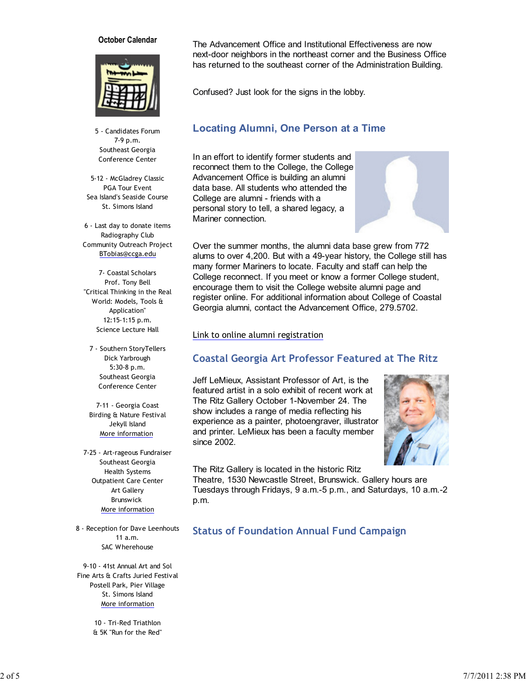#### **October Calendar**



5 - Candidates Forum 7-9 p.m. Southeast Georgia Conference Center

5-12 - McGladrey Classic PGA Tour Event Sea Island's Seaside Course St. Simons Island

6 - Last day to donate items Radiography Club Community Outreach Project BTobias@ccga.edu

7- Coastal Scholars Prof. Tony Bell "Critical Thinking in the Real World: Models, Tools & Application" 12:15-1:15 p.m. Science Lecture Hall

7 - Southern StoryTellers Dick Yarbrough 5:30-8 p.m. Southeast Georgia Conference Center

7-11 - Georgia Coast Birding & Nature Festival Jekyll Island More information

7-25 - Art-rageous Fundraiser Southeast Georgia Health Systems Outpatient Care Center Art Gallery Brunswick More information

8 - Reception for Dave Leenhouts 11 a.m. SAC Wherehouse

9-10 - 41st Annual Art and Sol Fine Arts & Crafts Juried Festival Postell Park, Pier Village St. Simons Island More information

> 10 - Tri-Red Triathlon & 5K "Run for the Red"

The Advancement Office and Institutional Effectiveness are now next-door neighbors in the northeast corner and the Business Office has returned to the southeast corner of the Administration Building.

Confused? Just look for the signs in the lobby.

## **Locating Alumni, One Person at a Time**

In an effort to identify former students and reconnect them to the College, the College Advancement Office is building an alumni data base. All students who attended the College are alumni - friends with a personal story to tell, a shared legacy, a Mariner connection.



Over the summer months, the alumni data base grew from 772 alums to over 4,200. But with a 49-year history, the College still has many former Mariners to locate. Faculty and staff can help the College reconnect. If you meet or know a former College student, encourage them to visit the College website alumni page and register online. For additional information about College of Coastal Georgia alumni, contact the Advancement Office, 279.5702.

#### Link to online alumni registration

# **Coastal Georgia Art Professor Featured at The Ritz**

Jeff LeMieux, Assistant Professor of Art, is the featured artist in a solo exhibit of recent work at The Ritz Gallery October 1-November 24. The show includes a range of media reflecting his experience as a painter, photoengraver, illustrator and printer. LeMieux has been a faculty member since 2002.



The Ritz Gallery is located in the historic Ritz

Theatre, 1530 Newcastle Street, Brunswick. Gallery hours are Tuesdays through Fridays, 9 a.m.-5 p.m., and Saturdays, 10 a.m.-2 p.m.

**Status of Foundation Annual Fund Campaign**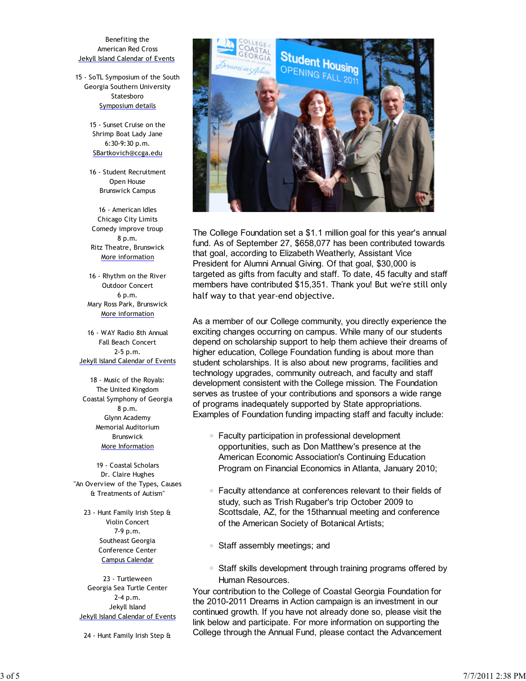Benefiting the American Red Cross Jekyll Island Calendar of Events

15 - SoTL Symposium of the South Georgia Southern University Statesboro Symposium details

> 15 - Sunset Cruise on the Shrimp Boat Lady Jane 6:30-9:30 p.m. SBartkovich@ccga.edu

> 16 - Student Recruitment Open House Brunswick Campus

16 - American Idles Chicago City Limits Comedy improve troup 8 p.m. Ritz Theatre, Brunswick More information

16 - Rhythm on the River Outdoor Concert 6 p.m. Mary Ross Park, Brunswick More information

16 - WAY Radio 8th Annual Fall Beach Concert 2-5 p.m. Jekyll Island Calendar of Events

18 - Music of the Royals: The United Kingdom Coastal Symphony of Georgia 8 p.m. Glynn Academy Memorial Auditorium Brunswick More Information

19 - Coastal Scholars Dr. Claire Hughes "An Overview of the Types, Causes & Treatments of Autism"

23 - Hunt Family Irish Step & Violin Concert 7-9 p.m. Southeast Georgia Conference Center Campus Calendar

23 - Turtleween Georgia Sea Turtle Center 2-4 p.m. Jekyll Island Jekyll Island Calendar of Events

24 - Hunt Family Irish Step &



The College Foundation set a \$1.1 million goal for this year's annual fund. As of September 27, \$658,077 has been contributed towards that goal, according to Elizabeth Weatherly, Assistant Vice President for Alumni Annual Giving. Of that goal, \$30,000 is targeted as gifts from faculty and staff. To date, 45 faculty and staff members have contributed \$15,351. Thank you! But we're still only half way to that year-end objective.

As a member of our College community, you directly experience the exciting changes occurring on campus. While many of our students depend on scholarship support to help them achieve their dreams of higher education, College Foundation funding is about more than student scholarships. It is also about new programs, facilities and technology upgrades, community outreach, and faculty and staff development consistent with the College mission. The Foundation serves as trustee of your contributions and sponsors a wide range of programs inadequately supported by State appropriations. Examples of Foundation funding impacting staff and faculty include:

- Faculty participation in professional development opportunities, such as Don Matthew's presence at the American Economic Association's Continuing Education Program on Financial Economics in Atlanta, January 2010;
- $\bullet$ Faculty attendance at conferences relevant to their fields of study, such as Trish Rugaber's trip October 2009 to Scottsdale, AZ, for the 15thannual meeting and conference of the American Society of Botanical Artists;
- Staff assembly meetings; and
- **Staff skills development through training programs offered by** Human Resources.

Your contribution to the College of Coastal Georgia Foundation for the 2010-2011 Dreams in Action campaign is an investment in our continued growth. If you have not already done so, please visit the link below and participate. For more information on supporting the College through the Annual Fund, please contact the Advancement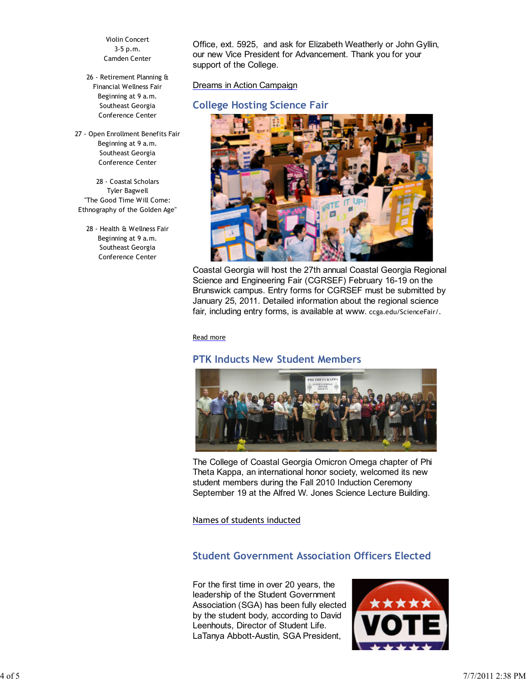Violin Concert 3-5 p.m. Camden Center

26 - Retirement Planning & Financial Wellness Fair Beginning at 9 a.m. Southeast Georgia Conference Center

27 - Open Enrollment Benefits Fair Beginning at 9 a.m. Southeast Georgia Conference Center

28 - Coastal Scholars Tyler Bagwell "The Good Time Will Come: Ethnography of the Golden Age"

28 - Health & Wellness Fair Beginning at 9 a.m. Southeast Georgia Conference Center

Office, ext. 5925, and ask for Elizabeth Weatherly or John Gyllin, our new Vice President for Advancement. Thank you for your support of the College.

Dreams in Action Campaign

# **College Hosting Science Fair**



Coastal Georgia will host the 27th annual Coastal Georgia Regional Science and Engineering Fair (CGRSEF) February 16-19 on the Brunswick campus. Entry forms for CGRSEF must be submitted by January 25, 2011. Detailed information about the regional science fair, including entry forms, is available at www. ccga.edu/ScienceFair/.

Read more

# **PTK Inducts New Student Members**



The College of Coastal Georgia Omicron Omega chapter of Phi Theta Kappa, an international honor society, welcomed its new student members during the Fall 2010 Induction Ceremony September 19 at the Alfred W. Jones Science Lecture Building.

Names of students inducted

# **Student Government Association Officers Elected**

For the first time in over 20 years, the leadership of the Student Government Association (SGA) has been fully elected by the student body, according to David Leenhouts, Director of Student Life. LaTanya Abbott-Austin, SGA President,